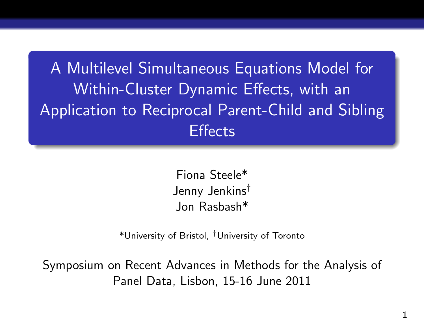A Multilevel Simultaneous Equations Model for Within-Cluster Dynamic Effects, with an Application to Reciprocal Parent-Child and Sibling **Effects** 

> Fiona Steele\* Jenny Jenkins† Jon Rasbash\*

\*University of Bristol, †University of Toronto

Symposium on Recent Advances in Methods for the Analysis of Panel Data, Lisbon, 15-16 June 2011

1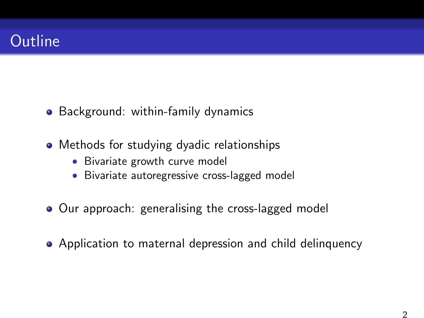# **Outline**

- Background: within-family dynamics
- Methods for studying dyadic relationships
	- Bivariate growth curve model
	- Bivariate autoregressive cross-lagged model
- Our approach: generalising the cross-lagged model
- Application to maternal depression and child delinquency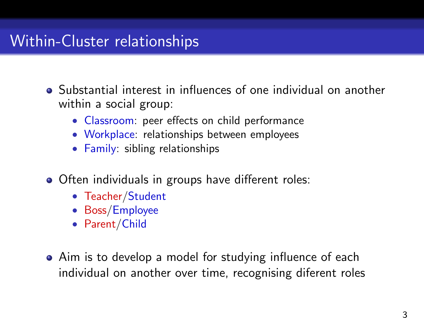## Within-Cluster relationships

- Substantial interest in influences of one individual on another within a social group:
	- Classroom: peer effects on child performance
	- Workplace: relationships between employees
	- Family: sibling relationships
- Often individuals in groups have different roles:
	- Teacher/Student
	- Boss/Employee
	- Parent/Child
- Aim is to develop a model for studying influence of each individual on another over time, recognising diferent roles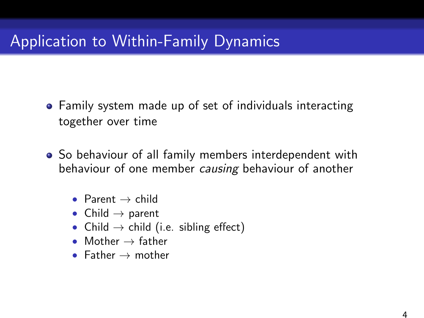- Family system made up of set of individuals interacting together over time
- So behaviour of all family members interdependent with behaviour of one member causing behaviour of another
	- Parent  $\rightarrow$  child
	- Child  $\rightarrow$  parent
	- Child  $\rightarrow$  child (i.e. sibling effect)
	- Mother  $\rightarrow$  father
	- Father  $\rightarrow$  mother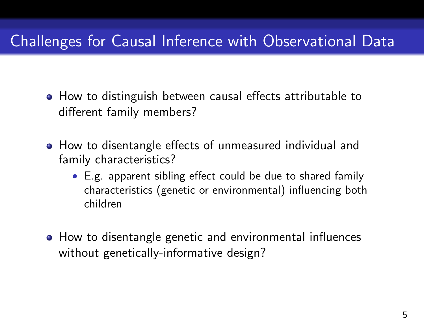# Challenges for Causal Inference with Observational Data

- How to distinguish between causal effects attributable to different family members?
- How to disentangle effects of unmeasured individual and family characteristics?
	- E.g. apparent sibling effect could be due to shared family characteristics (genetic or environmental) influencing both children
- How to disentangle genetic and environmental influences without genetically-informative design?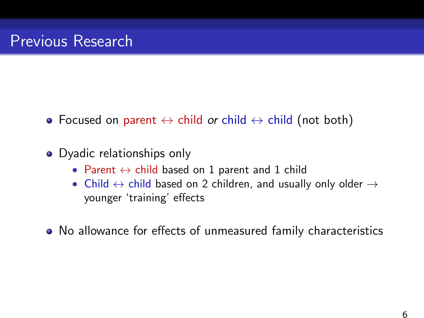- Focused on parent  $\leftrightarrow$  child or child  $\leftrightarrow$  child (not both)
- Dyadic relationships only
	- Parent  $\leftrightarrow$  child based on 1 parent and 1 child
	- Child  $\leftrightarrow$  child based on 2 children, and usually only older  $\rightarrow$ younger 'training' effects
- No allowance for effects of unmeasured family characteristics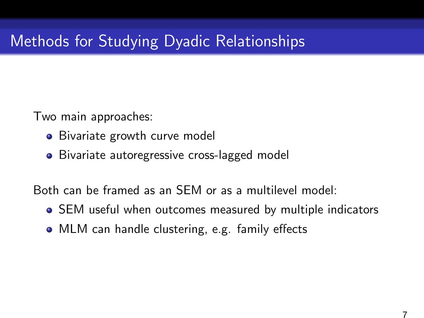# Methods for Studying Dyadic Relationships

Two main approaches:

- Bivariate growth curve model
- Bivariate autoregressive cross-lagged model

Both can be framed as an SEM or as a multilevel model:

- SEM useful when outcomes measured by multiple indicators
- MLM can handle clustering, e.g. family effects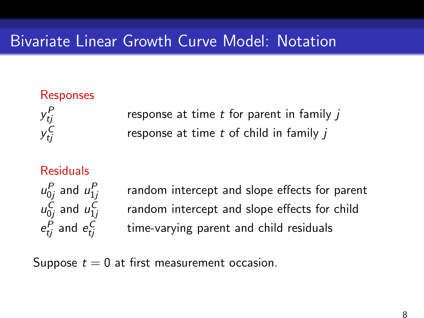## Bivariate Linear Growth Curve Model: Notation

### Responses

y P

y C

response at time  $t$  for parent in family  $j$ response at time  $t$  of child in family  $i$ 

#### Residuals

 $u_{0j}^P$  and  $u_{1j}^P$  $u_{0j}^C$  and  $u_{1j}^C$  $e_{tj}^P$  and  $e_{tj}^C$ 

random intercept and slope effects for parent random intercept and slope effects for child time-varying parent and child residuals

Suppose  $t = 0$  at first measurement occasion.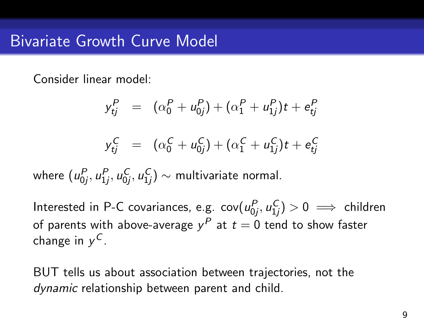Consider linear model:

$$
y_{tj}^{P} = (\alpha_0^{P} + u_{0j}^{P}) + (\alpha_1^{P} + u_{1j}^{P})t + e_{tj}^{P}
$$
  

$$
y_{tj}^{C} = (\alpha_0^{C} + u_{0j}^{C}) + (\alpha_1^{C} + u_{1j}^{C})t + e_{tj}^{C}
$$

where  $(u_{0j}^P,u_{1j}^P,u_{0j}^C,u_{1j}^C)\sim$  multivariate normal.

Interested in P-C covariances, e.g.  $\mathsf{cov}(u_{0j}^P,u_{1j}^C)>0\implies \mathsf{children}$ of parents with above-average  $y^P$  at  $t=0$  tend to show faster change in  $y^{\mathcal{C}}$ .

BUT tells us about association between trajectories, not the dynamic relationship between parent and child.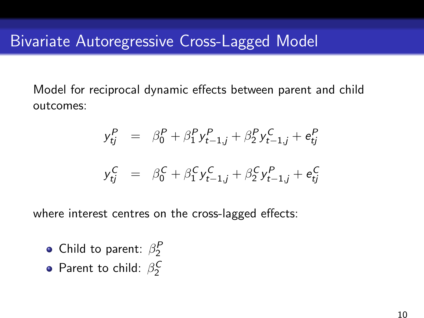Model for reciprocal dynamic effects between parent and child outcomes:

$$
y_{tj}^P = \beta_0^P + \beta_1^P y_{t-1,j}^P + \beta_2^P y_{t-1,j}^C + e_{tj}^P
$$

$$
y_{tj}^C = \beta_0^C + \beta_1^C y_{t-1,j}^C + \beta_2^C y_{t-1,j}^P + e_{tj}^C
$$

where interest centres on the cross-lagged effects:

- Child to parent:  $\beta_2^P$
- Parent to child:  $\beta_2^C$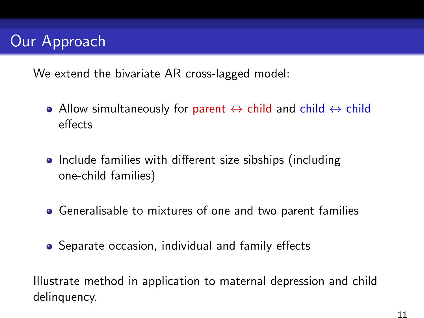# Our Approach

We extend the bivariate AR cross-lagged model:

- Allow simultaneously for parent  $\leftrightarrow$  child and child  $\leftrightarrow$  child effects
- Include families with different size sibships (including one-child families)
- Generalisable to mixtures of one and two parent families
- **•** Separate occasion, individual and family effects

Illustrate method in application to maternal depression and child delinguency.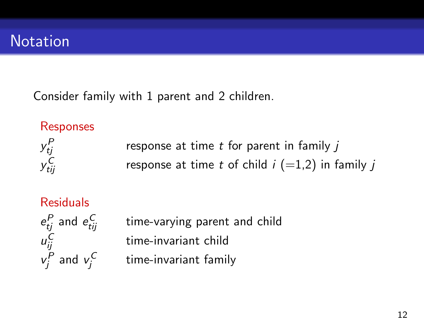Consider family with 1 parent and 2 children.

### **Responses**

y P

y<sub>ti.</sub>

response at time  $t$  for parent in family  $i$ response at time t of child  $i$  (=1,2) in family j

### Residuals

 $e_{tj}^P$  and  $e_{tij}^C$ time-varying parent and child u C time-invariant child  $v_j^P$  and  $v_j^C$ time-invariant family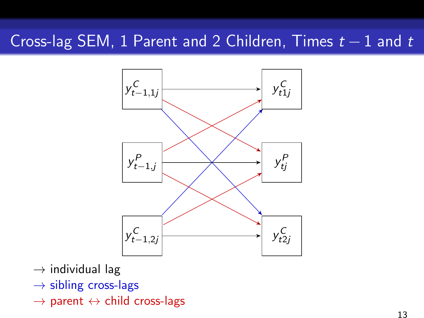## Cross-lag SEM, 1 Parent and 2 Children, Times  $t - 1$  and  $t$



- $\rightarrow$  individual lag
- $\rightarrow$  sibling cross-lags
- $\rightarrow$  parent  $\leftrightarrow$  child cross-lags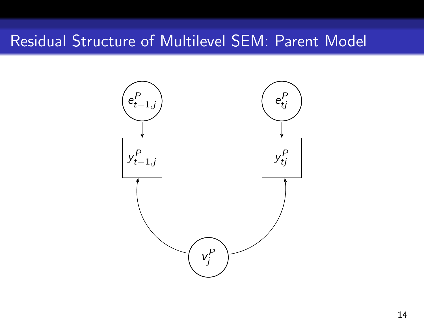### Residual Structure of Multilevel SEM: Parent Model

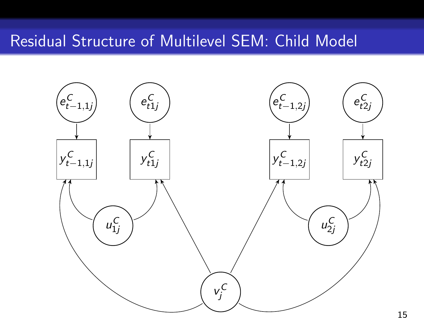### Residual Structure of Multilevel SEM: Child Model

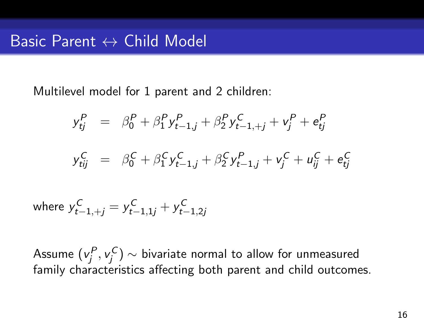Multilevel model for 1 parent and 2 children:

$$
y_{tj}^P = \beta_0^P + \beta_1^P y_{t-1,j}^P + \beta_2^P y_{t-1,+j}^C + v_j^P + e_{tj}^P
$$
  

$$
y_{tij}^C = \beta_0^C + \beta_1^C y_{t-1,j}^C + \beta_2^C y_{t-1,j}^P + v_j^C + u_{ij}^C + e_{tj}^C
$$

where  $y_{t-1,+j}^{\mathcal{C}} = y_{t-1,1j}^{\mathcal{C}} + y_{t-1,2j}^{\mathcal{C}}$ 

Assume  $({\mathsf v}_j^P,{\mathsf v}_j^{\mathsf C})\sim$  bivariate normal to allow for unmeasured family characteristics affecting both parent and child outcomes.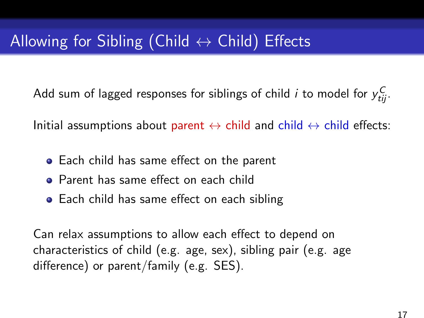Add sum of lagged responses for siblings of child  $i$  to model for  $y_{tij}^\mathsf{C}$ .

Initial assumptions about parent  $\leftrightarrow$  child and child  $\leftrightarrow$  child effects:

- Each child has same effect on the parent
- Parent has same effect on each child
- Each child has same effect on each sibling

Can relax assumptions to allow each effect to depend on characteristics of child (e.g. age, sex), sibling pair (e.g. age difference) or parent/family (e.g. SES).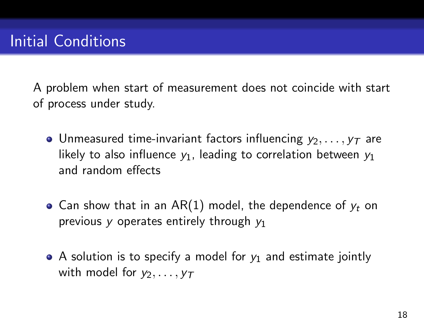A problem when start of measurement does not coincide with start of process under study.

- Unmeasured time-invariant factors influencing  $y_2, \ldots, y_T$  are likely to also influence  $y_1$ , leading to correlation between  $y_1$ and random effects
- Can show that in an AR(1) model, the dependence of  $y_t$  on previous y operates entirely through  $y_1$
- A solution is to specify a model for  $y_1$  and estimate jointly with model for  $v_2, \ldots, v_T$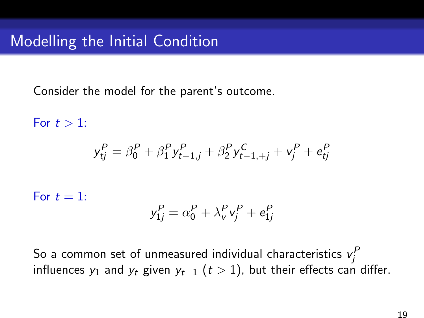Consider the model for the parent's outcome.

For  $t > 1$ :  ${\rm y}^P_{tj} = \beta^P_0 + \beta^P_1 {\rm y}^P_{t-1,j} + \beta^P_2 {\rm y}^C_{t-1,+j} + {\rm v}^P_j + {\rm e}^P_{tj}$ For  $t = 1$ :  $y_{1j}^P = \alpha_0^P + \lambda_{\rm v}^P v_j^P + e_{1j}^P$ 

So a common set of unmeasured individual characteristics  $\mathsf{v}^\mathsf{P}_j$ influences  $y_1$  and  $y_t$  given  $y_{t-1}$  ( $t > 1$ ), but their effects can differ.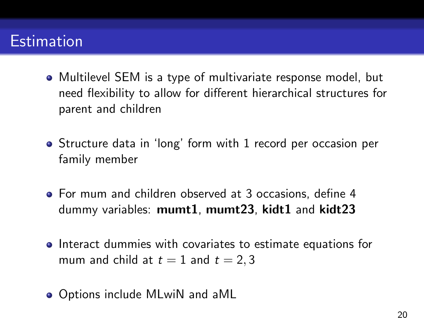## **Estimation**

- Multilevel SEM is a type of multivariate response model, but need flexibility to allow for different hierarchical structures for parent and children
- Structure data in 'long' form with 1 record per occasion per family member
- For mum and children observed at 3 occasions, define 4 dummy variables: mumt1, mumt23, kidt1 and kidt23
- **•** Interact dummies with covariates to estimate equations for mum and child at  $t = 1$  and  $t = 2, 3$
- Options include MLwiN and aML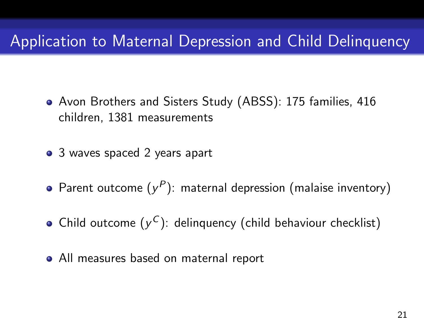### Application to Maternal Depression and Child Delinquency

- Avon Brothers and Sisters Study (ABSS): 175 families, 416 children, 1381 measurements
- 3 waves spaced 2 years apart
- Parent outcome  $(y^P)$ : maternal depression (malaise inventory)
- Child outcome  $(y^C)$ : delinquency (child behaviour checklist)
- All measures based on maternal report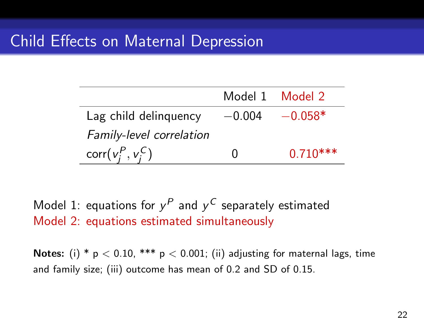|                          |          | Model 1 Model 2 |
|--------------------------|----------|-----------------|
| Lag child delinguency    | $-0.004$ | $-0.058*$       |
| Family-level correlation |          |                 |
| $corr(v_i^P, v_i^C)$     | 0        | $0.710***$      |

Model 1: equations for  $y^P$  and  $y^C$  separately estimated Model 2: equations estimated simultaneously

Notes: (i) \*  $p < 0.10$ , \*\*\*  $p < 0.001$ ; (ii) adjusting for maternal lags, time and family size; (iii) outcome has mean of 0.2 and SD of 0.15.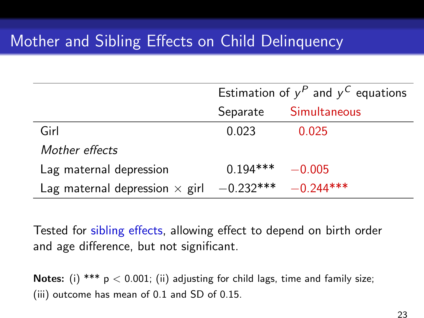### Mother and Sibling Effects on Child Delinquency

|                                       | Estimation of $y^P$ and $y^C$ equations |              |
|---------------------------------------|-----------------------------------------|--------------|
|                                       | Separate                                | Simultaneous |
| Girl                                  | 0.023                                   | 0.025        |
| Mother effects                        |                                         |              |
| Lag maternal depression               | $0.194***$                              | $-0.005$     |
| Lag maternal depression $\times$ girl | $-0.232***$                             | $-0.244***$  |

Tested for sibling effects, allowing effect to depend on birth order and age difference, but not significant.

Notes: (i) \*\*\*  $p < 0.001$ ; (ii) adjusting for child lags, time and family size; (iii) outcome has mean of 0.1 and SD of 0.15.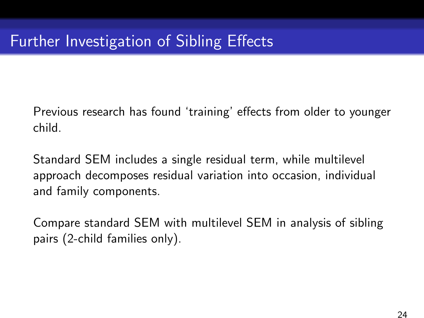Previous research has found 'training' effects from older to younger child.

Standard SEM includes a single residual term, while multilevel approach decomposes residual variation into occasion, individual and family components.

Compare standard SEM with multilevel SEM in analysis of sibling pairs (2-child families only).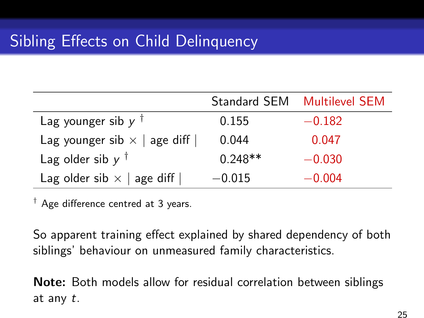|                                     |           | Standard SEM Multilevel SEM |
|-------------------------------------|-----------|-----------------------------|
| Lag younger sib $y^{\dagger}$       | 0.155     | $-0.182$                    |
| Lag younger sib $\times$   age diff | 0.044     | 0.047                       |
| Lag older sib $y^{\dagger}$         | $0.248**$ | $-0.030$                    |
| Lag older sib $\times$   age diff   | $-0.015$  | $-0.004$                    |

 $\dagger$  Age difference centred at 3 years.

So apparent training effect explained by shared dependency of both siblings' behaviour on unmeasured family characteristics.

Note: Both models allow for residual correlation between siblings at any t.